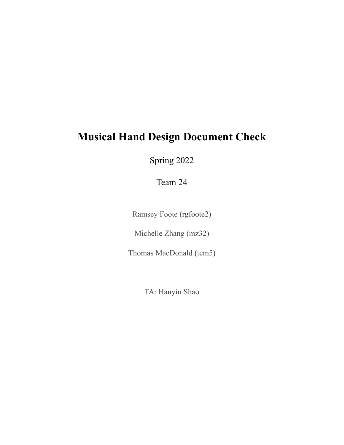# **Musical Hand Design Document Check**

Spring 2022

Team 24

Ramsey Foote (rgfoote2)

Michelle Zhang (mz32)

Thomas MacDonald (tcm5)

TA: Hanyin Shao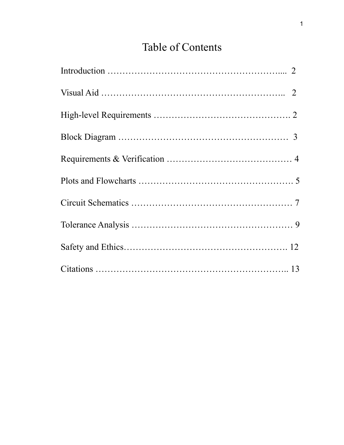# Table of Contents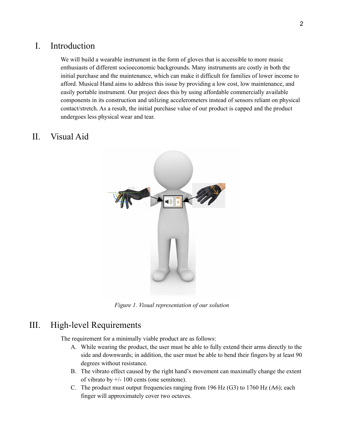## I. Introduction

We will build a wearable instrument in the form of gloves that is accessible to more music enthusiasts of different socioeconomic backgrounds. Many instruments are costly in both the initial purchase and the maintenance, which can make it difficult for families of lower income to afford. Musical Hand aims to address this issue by providing a low cost, low maintenance, and easily portable instrument. Our project does this by using affordable commercially available components in its construction and utilizing accelerometers instead of sensors reliant on physical contact/stretch. As a result, the initial purchase value of our product is capped and the product undergoes less physical wear and tear.

## II. Visual Aid



*Figure 1. Visual representation of our solution*

## III. High-level Requirements

The requirement for a minimally viable product are as follows:

- A. While wearing the product, the user must be able to fully extend their arms directly to the side and downwards; in addition, the user must be able to bend their fingers by at least 90 degrees without resistance.
- B. The vibrato effect caused by the right hand's movement can maximally change the extent of vibrato by  $+/- 100$  cents (one semitone).
- C. The product must output frequencies ranging from 196 Hz (G3) to 1760 Hz (A6); each finger will approximately cover two octaves.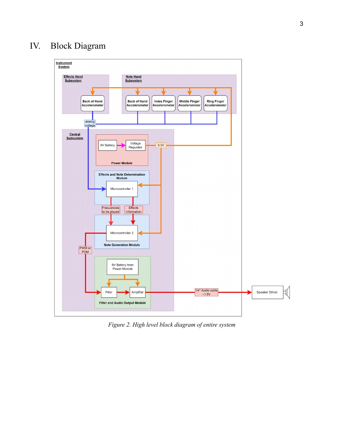## IV. Block Diagram



*Figure 2. High level block diagram of entire system*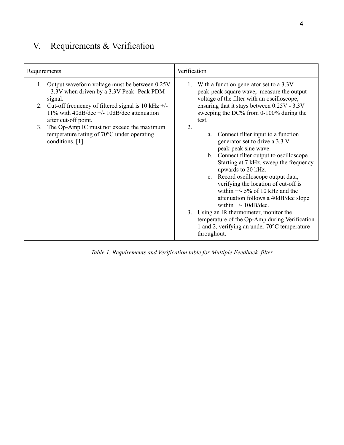## V. Requirements & Verification

| Requirements                                                                                                                                                                                                                                                                                                                                                                   | Verification                                                                                                                                                                                                                                                                                                                                                                                                                                                                                                                                                                                                                                                                                                                                                                                                                         |
|--------------------------------------------------------------------------------------------------------------------------------------------------------------------------------------------------------------------------------------------------------------------------------------------------------------------------------------------------------------------------------|--------------------------------------------------------------------------------------------------------------------------------------------------------------------------------------------------------------------------------------------------------------------------------------------------------------------------------------------------------------------------------------------------------------------------------------------------------------------------------------------------------------------------------------------------------------------------------------------------------------------------------------------------------------------------------------------------------------------------------------------------------------------------------------------------------------------------------------|
| 1. Output waveform voltage must be between 0.25V<br>- 3.3V when driven by a 3.3V Peak- Peak PDM<br>signal.<br>2. Cut-off frequency of filtered signal is 10 kHz $+/-$<br>11% with 40dB/dec $+/- 10$ dB/dec attenuation<br>after cut-off point.<br>The Op-Amp IC must not exceed the maximum<br>3 <sub>1</sub><br>temperature rating of 70°C under operating<br>conditions. [1] | With a function generator set to a 3.3V<br>1.<br>peak-peak square wave, measure the output<br>voltage of the filter with an oscilloscope,<br>ensuring that it stays between 0.25V - 3.3V<br>sweeping the DC% from 0-100% during the<br>test.<br>2.<br>Connect filter input to a function<br>a.<br>generator set to drive a 3.3 V<br>peak-peak sine wave.<br>b. Connect filter output to oscilloscope.<br>Starting at 7 kHz, sweep the frequency<br>upwards to 20 kHz.<br>c. Record oscilloscope output data,<br>verifying the location of cut-off is<br>within $+/-$ 5% of 10 kHz and the<br>attenuation follows a 40dB/dec slope<br>within $+/- 10$ dB/dec.<br>Using an IR thermometer, monitor the<br>3.<br>temperature of the Op-Amp during Verification<br>1 and 2, verifying an under $70^{\circ}$ C temperature<br>throughout. |

*Table 1. Requirements and Verification table for Multiple Feedback filter*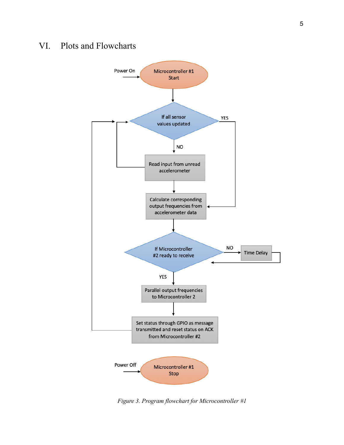## VI. Plots and Flowcharts



*Figure 3. Program flowchart for Microcontroller #1*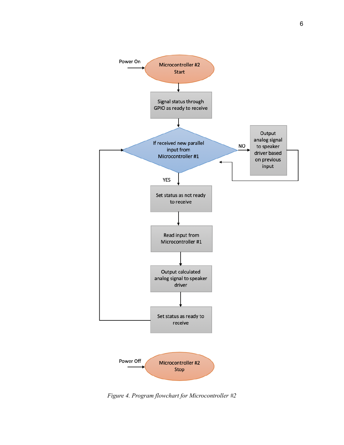

*Figure 4. Program flowchart for Microcontroller #2*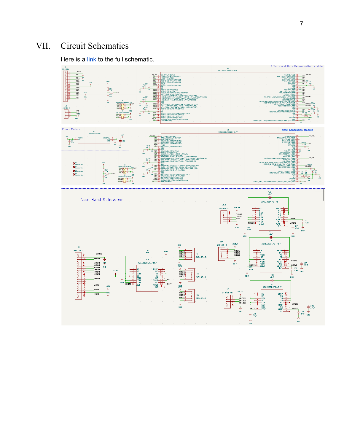#### VI. I. Circuit Schematics

Here is a [lin](https://drive.google.com/file/d/1hANlKfNaGgGj4JPpzirEaFoeHtSJscwA/view?usp=sharing)k to the full schematic.

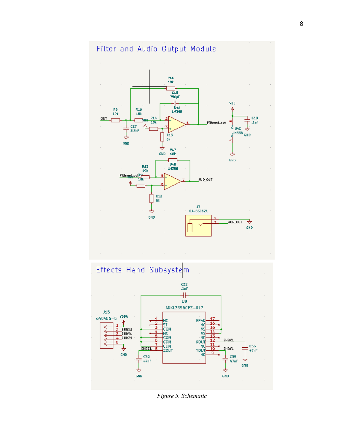



*Figure 5. Schematic*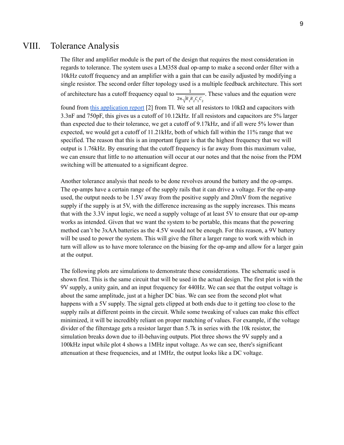#### VIII. Tolerance Analysis

The filter and amplifier module is the part of the design that requires the most consideration in regards to tolerance. The system uses a LM358 dual op-amp to make a second order filter with a 10kHz cutoff frequency and an amplifier with a gain that can be easily adjusted by modifying a single resistor. The second order filter topology used is a multiple feedback architecture. This sort of architecture has a cutoff frequency equal to  $\frac{1}{\sqrt{1-\frac{1}{n}}$ . These values and the equation were  $2\pi \sqrt{R_1R_2C_1C_2}$ found from this [application](https://www.ti.com/lit/an/sboa114/sboa114.pdf?ts=1645420604511&ref_url=https%253A%252F%252Fwww.google.com%252F) report [2] from TI. We set all resistors to  $10kΩ$  and capacitors with 3.3nF and 750pF, this gives us a cutoff of 10.12kHz. If all resistors and capacitors are 5% larger than expected due to their tolerance, we get a cutoff of 9.17kHz, and if all were 5% lower than expected, we would get a cutoff of 11.21kHz, both of which fall within the 11% range that we specified. The reason that this is an important figure is that the highest frequency that we will output is 1.76kHz. By ensuring that the cutoff frequency is far away from this maximum value, we can ensure that little to no attenuation will occur at our notes and that the noise from the PDM switching will be attenuated to a significant degree.

Another tolerance analysis that needs to be done revolves around the battery and the op-amps. The op-amps have a certain range of the supply rails that it can drive a voltage. For the op-amp used, the output needs to be 1.5V away from the positive supply and 20mV from the negative supply if the supply is at 5V, with the difference increasing as the supply increases. This means that with the 3.3V input logic, we need a supply voltage of at least 5V to ensure that our op-amp works as intended. Given that we want the system to be portable, this means that the powering method can't be 3xAA batteries as the 4.5V would not be enough. For this reason, a 9V battery will be used to power the system. This will give the filter a larger range to work with which in turn will allow us to have more tolerance on the biasing for the op-amp and allow for a larger gain at the output.

The following plots are simulations to demonstrate these considerations. The schematic used is shown first. This is the same circuit that will be used in the actual design. The first plot is with the 9V supply, a unity gain, and an input frequency for 440Hz. We can see that the output voltage is about the same amplitude, just at a higher DC bias. We can see from the second plot what happens with a 5V supply. The signal gets clipped at both ends due to it getting too close to the supply rails at different points in the circuit. While some tweaking of values can make this effect minimized, it will be incredibly reliant on proper matching of values. For example, if the voltage divider of the filterstage gets a resistor larger than 5.7k in series with the 10k resistor, the simulation breaks down due to ill-behaving outputs. Plot three shows the 9V supply and a 100kHz input while plot 4 shows a 1MHz input voltage. As we can see, there's significant attenuation at these frequencies, and at 1MHz, the output looks like a DC voltage.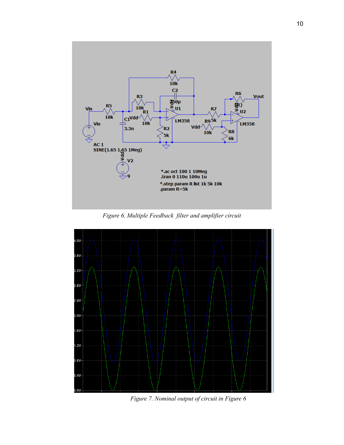

*Figure 6. Multiple Feedback filter and amplifier circuit*



*Figure 7. Nominal output of circuit in Figure 6*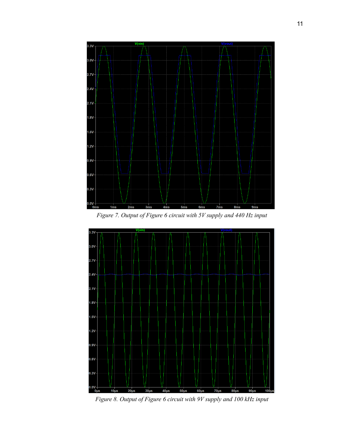

*Figure 7. Output of Figure 6 circuit with 5V supply and 440 Hz input*



*Figure 8. Output of Figure 6 circuit with 9V supply and 100 kHz input*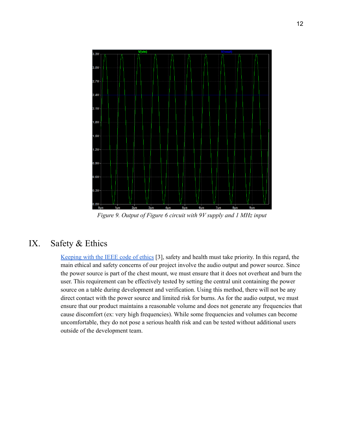

*Figure 9. Output of Figure 6 circuit with 9V supply and 1 MHz input*

## IX. Safety & Ethics

[Keeping](https://www.ieee.org/about/corporate/governance/p7-8.html) with the IEEE code of ethics [3], safety and health must take priority. In this regard, the main ethical and safety concerns of our project involve the audio output and power source. Since the power source is part of the chest mount, we must ensure that it does not overheat and burn the user. This requirement can be effectively tested by setting the central unit containing the power source on a table during development and verification. Using this method, there will not be any direct contact with the power source and limited risk for burns. As for the audio output, we must ensure that our product maintains a reasonable volume and does not generate any frequencies that cause discomfort (ex: very high frequencies). While some frequencies and volumes can become uncomfortable, they do not pose a serious health risk and can be tested without additional users outside of the development team.